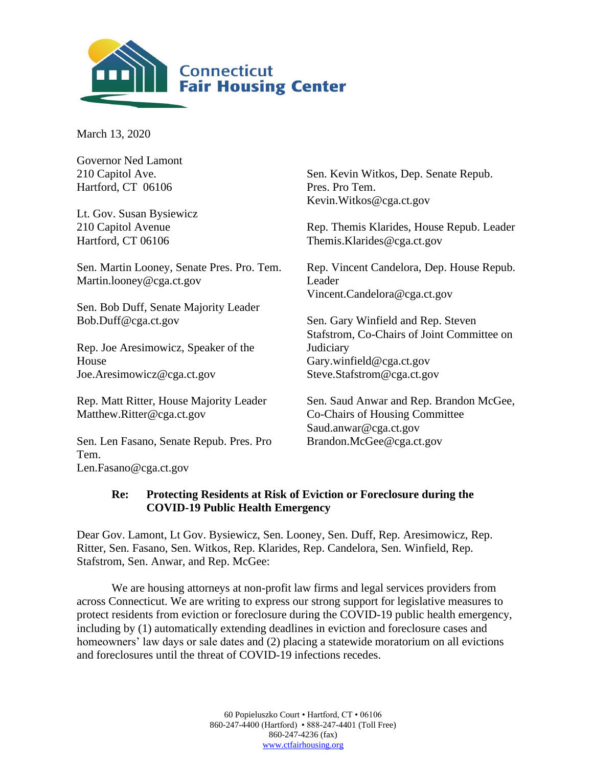

March 13, 2020

| <b>Governor Ned Lamont</b>                       |                                            |
|--------------------------------------------------|--------------------------------------------|
| 210 Capitol Ave.                                 | Sen. Kevin Witkos, Dep. Senate Repub.      |
| Hartford, CT 06106                               | Pres. Pro Tem.                             |
|                                                  | Kevin. Witkos@cga.ct.gov                   |
| Lt. Gov. Susan Bysiewicz                         |                                            |
| 210 Capitol Avenue                               | Rep. Themis Klarides, House Repub. Leader  |
| Hartford, CT 06106                               | Themis.Klarides@cga.ct.gov                 |
| Sen. Martin Looney, Senate Pres. Pro. Tem.       | Rep. Vincent Candelora, Dep. House Repub.  |
| Martin.looney@cga.ct.gov                         | Leader                                     |
|                                                  | Vincent.Candelora@cga.ct.gov               |
| Sen. Bob Duff, Senate Majority Leader            |                                            |
| Bob.Duff@cga.ct.gov                              | Sen. Gary Winfield and Rep. Steven         |
|                                                  | Stafstrom, Co-Chairs of Joint Committee on |
| Rep. Joe Aresimowicz, Speaker of the             | Judiciary                                  |
| House                                            | Gary.winfield@cga.ct.gov                   |
| Joe.Aresimowicz@cga.ct.gov                       | Steve.Stafstrom@cga.ct.gov                 |
| Rep. Matt Ritter, House Majority Leader          | Sen. Saud Anwar and Rep. Brandon McGee,    |
| Matthew.Ritter@cga.ct.gov                        | Co-Chairs of Housing Committee             |
|                                                  | Saud.anwar@cga.ct.gov                      |
| Sen. Len Fasano, Senate Repub. Pres. Pro<br>Tem. | Brandon.McGee@cga.ct.gov                   |

[Len.Fasano@cga.ct.gov](mailto:Len.Fasano@cga.ct.gov)

## **Re: Protecting Residents at Risk of Eviction or Foreclosure during the COVID-19 Public Health Emergency**

Dear Gov. Lamont, Lt Gov. Bysiewicz, Sen. Looney, Sen. Duff, Rep. Aresimowicz, Rep. Ritter, Sen. Fasano, Sen. Witkos, Rep. Klarides, Rep. Candelora, Sen. Winfield, Rep. Stafstrom, Sen. Anwar, and Rep. McGee:

We are housing attorneys at non-profit law firms and legal services providers from across Connecticut. We are writing to express our strong support for legislative measures to protect residents from eviction or foreclosure during the COVID-19 public health emergency, including by (1) automatically extending deadlines in eviction and foreclosure cases and homeowners' law days or sale dates and (2) placing a statewide moratorium on all evictions and foreclosures until the threat of COVID-19 infections recedes.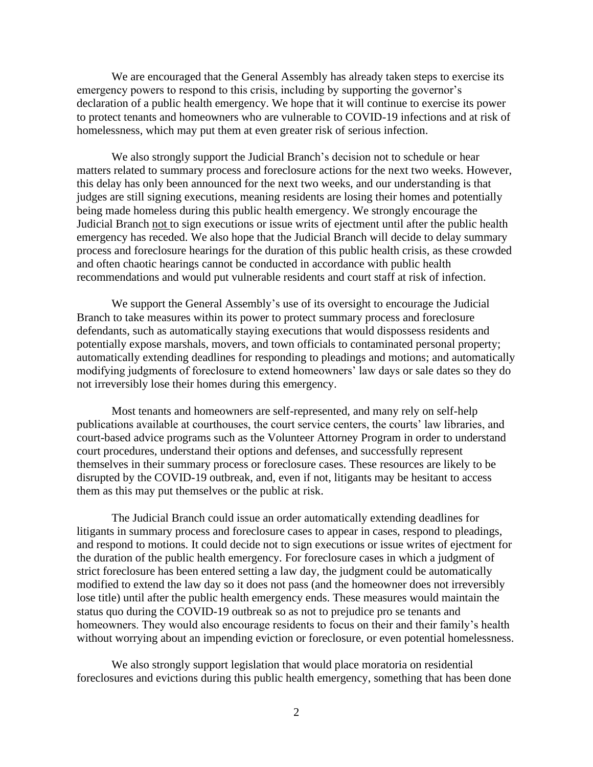We are encouraged that the General Assembly has already taken steps to exercise its emergency powers to respond to this crisis, including by supporting the governor's declaration of a public health emergency. We hope that it will continue to exercise its power to protect tenants and homeowners who are vulnerable to COVID-19 infections and at risk of homelessness, which may put them at even greater risk of serious infection.

We also strongly support the Judicial Branch's decision not to schedule or hear matters related to summary process and foreclosure actions for the next two weeks. However, this delay has only been announced for the next two weeks, and our understanding is that judges are still signing executions, meaning residents are losing their homes and potentially being made homeless during this public health emergency. We strongly encourage the Judicial Branch not to sign executions or issue writs of ejectment until after the public health emergency has receded. We also hope that the Judicial Branch will decide to delay summary process and foreclosure hearings for the duration of this public health crisis, as these crowded and often chaotic hearings cannot be conducted in accordance with public health recommendations and would put vulnerable residents and court staff at risk of infection.

We support the General Assembly's use of its oversight to encourage the Judicial Branch to take measures within its power to protect summary process and foreclosure defendants, such as automatically staying executions that would dispossess residents and potentially expose marshals, movers, and town officials to contaminated personal property; automatically extending deadlines for responding to pleadings and motions; and automatically modifying judgments of foreclosure to extend homeowners' law days or sale dates so they do not irreversibly lose their homes during this emergency.

Most tenants and homeowners are self-represented, and many rely on self-help publications available at courthouses, the court service centers, the courts' law libraries, and court-based advice programs such as the Volunteer Attorney Program in order to understand court procedures, understand their options and defenses, and successfully represent themselves in their summary process or foreclosure cases. These resources are likely to be disrupted by the COVID-19 outbreak, and, even if not, litigants may be hesitant to access them as this may put themselves or the public at risk.

The Judicial Branch could issue an order automatically extending deadlines for litigants in summary process and foreclosure cases to appear in cases, respond to pleadings, and respond to motions. It could decide not to sign executions or issue writes of ejectment for the duration of the public health emergency. For foreclosure cases in which a judgment of strict foreclosure has been entered setting a law day, the judgment could be automatically modified to extend the law day so it does not pass (and the homeowner does not irreversibly lose title) until after the public health emergency ends. These measures would maintain the status quo during the COVID-19 outbreak so as not to prejudice pro se tenants and homeowners. They would also encourage residents to focus on their and their family's health without worrying about an impending eviction or foreclosure, or even potential homelessness.

We also strongly support legislation that would place moratoria on residential foreclosures and evictions during this public health emergency, something that has been done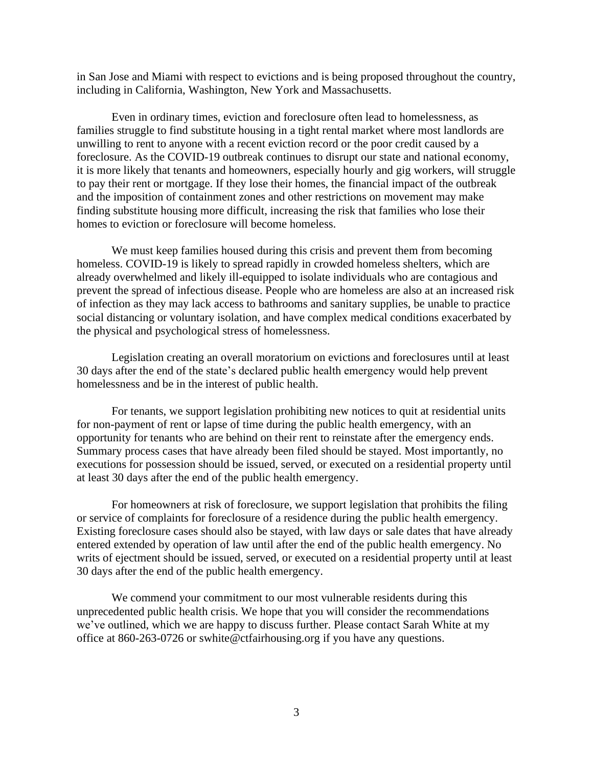in San Jose and Miami with respect to evictions and is being proposed throughout the country, including in California, Washington, New York and Massachusetts.

Even in ordinary times, eviction and foreclosure often lead to homelessness, as families struggle to find substitute housing in a tight rental market where most landlords are unwilling to rent to anyone with a recent eviction record or the poor credit caused by a foreclosure. As the COVID-19 outbreak continues to disrupt our state and national economy, it is more likely that tenants and homeowners, especially hourly and gig workers, will struggle to pay their rent or mortgage. If they lose their homes, the financial impact of the outbreak and the imposition of containment zones and other restrictions on movement may make finding substitute housing more difficult, increasing the risk that families who lose their homes to eviction or foreclosure will become homeless.

We must keep families housed during this crisis and prevent them from becoming homeless. COVID-19 is likely to spread rapidly in crowded homeless shelters, which are already overwhelmed and likely ill-equipped to isolate individuals who are contagious and prevent the spread of infectious disease. People who are homeless are also at an increased risk of infection as they may lack access to bathrooms and sanitary supplies, be unable to practice social distancing or voluntary isolation, and have complex medical conditions exacerbated by the physical and psychological stress of homelessness.

Legislation creating an overall moratorium on evictions and foreclosures until at least 30 days after the end of the state's declared public health emergency would help prevent homelessness and be in the interest of public health.

For tenants, we support legislation prohibiting new notices to quit at residential units for non-payment of rent or lapse of time during the public health emergency, with an opportunity for tenants who are behind on their rent to reinstate after the emergency ends. Summary process cases that have already been filed should be stayed. Most importantly, no executions for possession should be issued, served, or executed on a residential property until at least 30 days after the end of the public health emergency.

For homeowners at risk of foreclosure, we support legislation that prohibits the filing or service of complaints for foreclosure of a residence during the public health emergency. Existing foreclosure cases should also be stayed, with law days or sale dates that have already entered extended by operation of law until after the end of the public health emergency. No writs of ejectment should be issued, served, or executed on a residential property until at least 30 days after the end of the public health emergency.

We commend your commitment to our most vulnerable residents during this unprecedented public health crisis. We hope that you will consider the recommendations we've outlined, which we are happy to discuss further. Please contact Sarah White at my office at 860-263-0726 or swhite@ctfairhousing.org if you have any questions.